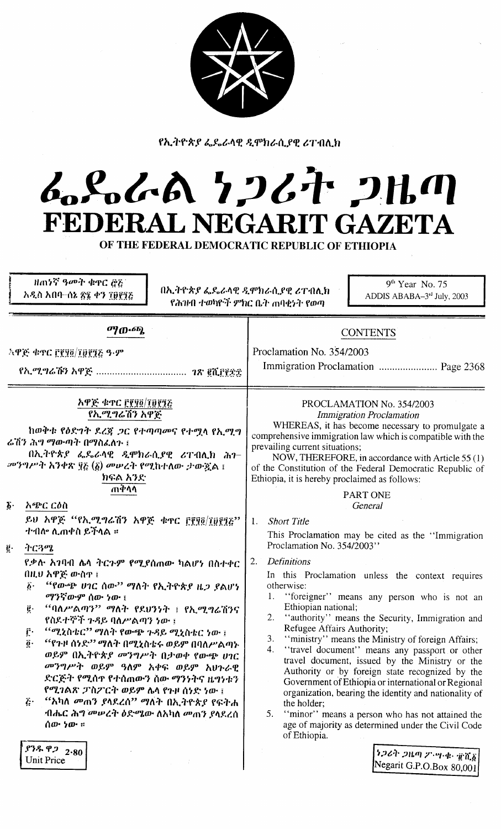የኢትዮጵያ ፌዴራላዊ ዲሞክራሲያዊ ሪፐብሊክ

# んとんへ とつびれ つはの FEDERAL NEGARIT GAZETA

OF THE FEDERAL DEMOCRATIC REPUBLIC OF ETHIOPIA

ዘጠነኛ ዓመት ቁዋር ሮ፩  $9<sup>th</sup>$  Year No. 75 በኢትዮጵያ ፌዴራላዊ ዲሞክራሲያዊ ሪፐብሊክ አዲስ አበባ–ሰኔ ጽ፮ ቀን ፲፱፻፺፩ ADDIS ABABA-3rd July, 2003 የሕዝብ ተወካዮች ምክር ቤት ጠባቂኑት የወጣ ማውጫ **CONTENTS** Proclamation No. 354/2003 *ኣዋጅ ቁጥር ፫፻፶፬/፲፱፻፺፩ ዓ-ም* Immigration Proclamation ......................... Page 2368 አዋጅ ቁ<u>ተር ፫፻፶፬/፲፱፻፺፩</u> PROCLAMATION No. 354/2003 የኢሚግሬሽን አዋጅ **Immigration Proclamation** WHEREAS, it has become necessary to promulgate a ከወቅቱ የዕድገት ደረጃ ጋር የተጣጣመና የተሚላ የኢሚግ comprehensive immigration law which is compatible with the ሬሽን ሕግ ማውጣት በማስፈለጉ ፤ prevailing current situations; በኢትዮጵያ ፌዴራላዊ ዲሞክራሲያዊ ሪፐብሊክ ሕገ-NOW, THEREFORE, in accordance with Article 55 (1) መንግሥት አንቀጽ ፶፩ (፩) መሠረት የሚከተለው ታውዷል ፤ of the Constitution of the Federal Democratic Republic of ክፍል አንድ Ethiopia, it is hereby proclaimed as follows: ጠቅሳሳ PART ONE  $\delta$ . አጭር ርዕስ General ይህ አዋጅ "የኢሚግሬሽን አዋጅ ቁጥር ፫፻፶፬/፲፱፻፺፩"  $1 -$ **Short Title** ተብሎ ሊጠቀስ ይችላል ። This Proclamation may be cited as the "Immigration Proclamation No. 354/2003" ትርጓሜ ġ. **Definitions** የቃሉ አገባብ ሌላ ትርጉም የሚያሰጠው ካልሆነ በስተቀር  $2<sub>1</sub>$ በዚሀ አዋጅ ውስዋ ፤ In this Proclamation unless the context requires "የውጭ ሀገር ሰው" ማለት የኢትዮጵያ ዜ*ጋ ያ*ልሆነ  $\boldsymbol{\delta}$ . otherwise: 1. "foreigner" means any person who is not an *ማንኛውም* ሰው ነው ፤ "ባለሥልጣን" ማለት የደህንነት ፤ የኢሚግሬሽንና Ethiopian national;  $\vec{e}$  .  $2.$ "authority" means the Security, Immigration and የስደተኞች ጉዳይ ባለሥልጣን ነው ፤ Refugee Affairs Authority; <sup>‹‹</sup>ሚኒስቴር'' ማስት የውጭ ጉዳይ ሚኒስቴር ነው ፤  $\mathbf{r}$ .  $3.$ "ministry" means the Ministry of foreign Affairs; "የጉዞ ሰነድ'' ማለት በሚኒስቴሩ ወይም በባለሥልጣኑ  $\ddot{\bm{o}}$ . "travel document" means any passport or other  $4<sup>1</sup>$ ወይም በኢትዮጵያ መንግሥት በታወቀ የውጭ ሀገር travel document, issued by the Ministry or the መንግሥት ወይም ዓለም አቀፍ ወይም አህጉራዊ Authority or by foreign state recognized by the ድርጅት የሚሰዋ የተሰጠውን ስው ማንነትና ዜግነቱን Government of Ethiopia or international or Regional የሚገልጽ ፓስፖርት ወይም ሴላ የጉዞ ሰነድ ነው ፤ organization, bearing the identity and nationality of "አካለ መጠን ያላደረሰ" ማለት በኢትዮጵያ የፍትሐ  $\tilde{c}$ . the holder; ብሔር ሕግ መሠረት ዕድሜው ለአካለ መጠን ያላደረሰ 5. "minor" means a person who has not attained the age of majority as determined under the Civil Code ሰው ነው ። of Ethiopia.  $97.992_{0.80}$ ነጋሪት ጋዜጣ ፖ ሣ ቀ ፹ሺ፩ **Unit Price** Negarit G.P.O.Box 80,001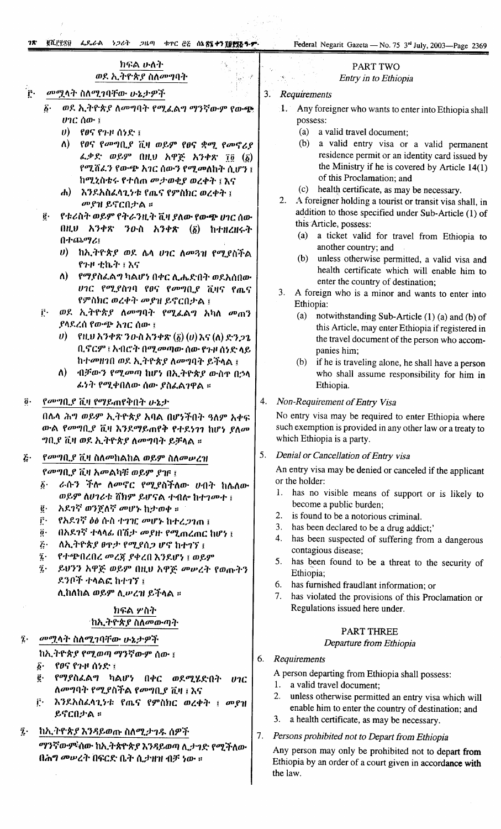# ክፍል ሁለት ወደ ኢትዮጵያ ስለመግባት

#### ٔ f መሟላት ስለሚገባቸው ሁኔታዎች

- ወደ ኢትዮጵያ ለመግባት የሚፈልግ ማንኛውም የውጭ  $\boldsymbol{\delta}$ .
	- $\upsilon$ ) የፀና የጉዞ ሰነድ ፤
	- $\Lambda$ ) የፀና የመግቢያ ቪዛ ወይም የፀና ቋሚ የመኖሪያ ፈቃድ ወይም በዚህ አዋጅ አንቀጽ ፲፬ (፩) የሚሽፈን የውጭ አገር ሰውን የሚመለከት ሲሆን ፤ ከሚኒስቴሩ የተሰጠ መታወቂያ ወረቀት ፤ እና
	- ሐ) እንደአስፈላጊነቱ የጤና የምስክር ወረቀት ፤ መያዝ ይኖርበታል።
- የቱሪስት ወይም የትራንዚት ቪዛ ያለው የውጭ ሀገር ስው  $\vec{e}$ . በዚህ አንቀጽ ንውስ አንቀጽ  $(\vec{\delta})$  ከተዘረዘሩት በተጨማሪ፤
	- υ) ከኢትዮጵያ ወደ ሌላ ሀገር ለመጓዝ የሚያስችል የጉዞ ቲኬት ፤ እና
	- የማያስፈልግ ካልሆነ በቀር ሲሔድበት ወደአስበው ለ) -ሀገር የሚያስገባ የፀና የመግቢያ ቪዛና የጤና የምስክር ወረቀት መያዝ ይኖርበታል ፤
- ወደ ኢትዮጵያ ለመግባት የሚፈልግ አካለ መጠን Ê. ያሳደረሰ የውጭ አገር ሰው ፤
	- ቢኖርም ፤ አብሮት በሚመጣው ሰው የጉዞ ሰነድ ላይ ከተመዘገበ ወደ ኢትዮጵያ ለመግባት ይችላል ፤
	- ብቻውን የሚመጣ ከሆነ በኢትዮጵያ ውስዋ በኃላ ለ) -ፌነት የሚቀበለው ሰው ያስፌልገዋል ።

#### $\ddot{\mathbf{0}}$ . የመግቢያ ቪዛ የማይጠየቅበት ሁኔታ

በሴላ ሕግ ወይም ኢትዮጵያ አባል በሆነችበት ዓለም አቀፍ ውል የመግቢያ ቪዛ እንደማይጠየቅ የተደነገገ ከሆነ ያለመ *ግቢያ ቪዛ ወደ ኢትዮጵያ ለመግባት ይቻላል ።* 

#### *የመግቢያ ቪዛ ስለመከልከል ወይም ስለመሠረዝ* Ŀ.

የመግቢያ ቪዛ አመልካቹ ወይም ያገና ፤

- ራሱን ችሎ ለመኖር የሚያስችለው ሀብት ከሌለው  $\vec{b}$ . ወይም ለሀገሪቱ ሸክም ይሆናል ተብሎ ከተገመተ ፤
- ĝ. አደገኛ ወንጀለኛ መሆኑ ከታወቀ ።
- ŕ٠ የአደገኛ ዕፅ ሱስ ተገዢ መሆኑ ከተረ*ጋገ*ጠ ፤
- $\vec{0}$ . በአደንኛ ተላላፊ በሽታ መያዙ የሚጠረጠር ከሆነ ፤
- $\tilde{c}$ . ለኢትዮጵያ ፀዋታ የሚያሰጋ ሆኖ ከተገኘ ፤
- የተጭበረበረ መረጀ ያቀረበ እንደሆነ ፤ ወይም  $\tilde{k}$
- ይህንን አዋጅ ወይም በዚህ አዋጅ መሥረት የወጡትን  $\ddot{\mathbf{z}}$  . ደንቦች ተላልፎ ከተገኘ ፤

ሊከለከል ወይም ሊሥረዝ ይችላል ፡፡

## ክፍል ሦስት 'ከኢትዮጵያ ስለመውጣት

- $\hat{\mathbf{z}}$  . መሟላት ስለሚገባቸው ሁኔታዎች
	- ከኢትዮጵያ የሚወጣ ማንኛውም ሰው ፤
	- \_የፀና የጉዞ ሰ**ነ**ድ ፤  $\hat{b}$ .
	- g. የማያስፌልግ ካልሆነ በቀር ወደሚሂድበት  $07C$ ለመግባት የሚያስችል የመግቢያ ቪዛ ፤ እና
	- r. እንደአስፈላጊነቱ የጤና የምስክር ወረቀት ፤ መያዝ ይኖርበታል ።

 $\tilde{\mathbf{z}}$ . ከኢትዮጵያ እንዳይወጡ ስለሚታገዱ ሰዎች

> ማንኛውም ስው ከኢትጵዮጵያ እንዳይወጣ ሊታገድ የሚችለው በሕግ መሠረት በፍርድ ቤት ሲታዘዝ ብቻ ነው ።

# **PART TWO**

# Entry in to Ethiopia

#### $3<sup>1</sup>$ Requirements

 $\cdot$   $\beta$ 

- Any foreigner who wants to enter into Ethiopia shall  $1.1$ possess:
	- (a) a valid travel document;
	- $(b)$ a valid entry visa or a valid permanent residence permit or an identity card issued by the Ministry if he is covered by Article  $14(1)$ of this Proclamation; and
	- $(c)$ health certificate, as may be necessary.
- 2. A foreigner holding a tourist or transit visa shall, in addition to those specified under Sub-Article (1) of this Article, possess:
	- (a) a ticket valid for travel from Ethiopia to another country; and
	- (b) unless otherwise permitted, a valid visa and health certificate which will enable him to enter the country of destination:
- 3. A foreign who is a minor and wants to enter into Ethiopia:
	- (a) notwithstanding Sub-Article (1) (a) and (b) of this Article, may enter Ethiopia if registered in the travel document of the person who accompanies him;
	- (b) if he is traveling alone, he shall have a person who shall assume responsibility for him in Ethiopia.

#### Non-Requirement of Entry Visa 4.

No entry visa may be required to enter Ethiopia where such exemption is provided in any other law or a treaty to which Ethiopia is a party.

5. Denial or Cancellation of Entry visa

An entry visa may be denied or canceled if the applicant or the holder:

- has no visible means of support or is likely to  $1<sup>1</sup>$ become a public burden;
- $2.$ is found to be a notorious criminal.
- 3. has been declared to be a drug addict;'
- 4. has been suspected of suffering from a dangerous contagious disease:
- has been found to be a threat to the security of  $5.$ Ethiopia;
- 6. has furnished fraudlant information; or
- 7. has violated the provisions of this Proclamation or Regulations issued here under.

# **PART THREE**

## Departure from Ethiopia

#### 6. Requirements

A person departing from Ethiopia shall possess:

- 1. a valid travel document;
	- unless otherwise permitted an entry visa which will  $2.$ enable him to enter the country of destination; and
	- a health certificate, as may be necessary.  $3.$
- 7. Persons prohibited not to Depart from Ethiopia

Any person may only be prohibited not to depart from Ethiopia by an order of a court given in accordance with the law.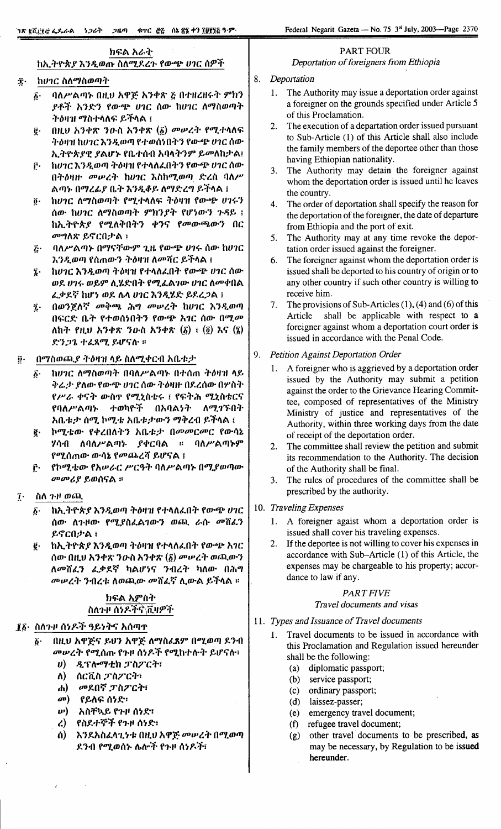hlf:A *ht--~.* ከኢ*ት*ዮጵ*ያ* እንዲወጡ ስለሚደረጉ የውጭ ሀገር ሰዎች

#### $\hat{\mathbf{r}}$  . *ከሀገር ስለማስወጣት*

- *li'* 11i\r-'AIlJ~ OH.U *htp~ h1"'7\* ~ *O+Hl.H-r-r* 9"h1 Y1-".f *h* 1 *f:1* fm'6J!' *U1C* (}lD- hU1C *i\l1'/{}mllJ-r* ት*ስ*ዛዝ ማስተላለፍ ይችላል ፣
- $\vec{g}$ · በዚህ አንቀጽ ንዑስ አንቀጽ (፩) መሥረት የሚተላለፍ -~'t'JtJ1'hU1C *h1JtmllJ* f+m(}~O:"1 flD-6J!' *U1C (}m.* ኢትዮጵያዊ ያልሆኑ የቤተሰብ አባላትንም ይመለከታል፤
- $e$ . hv1C እንዲወጣ ትዕዛዝ የተላለፈበትን የውጭ ሀ1C ሰው በት*ዕ*ዛዙ *መ*ሥረት ከሀገር እስከሚወጣ ድረስ ባለሥ Aጣኑ በማረፊ*ያ* ቤተ እንዲቆይ ለማድረግ ይችላል ፤
- $\tilde{\theta}$ · ከሀገር ለማስወጣት የሚተላለፍ ትዕዛዝ የውጭ ሀገሩን *(}m.* hU1C *i\l1'/{}mllJ-r* 9"h1 *Y-r* rlf~lD-1 *7-~f.* ; ከኢትዮጵ*ያ የሚ*ለቅበትን ቀንና የመውጫውን በር *መግ*ስጽ ይኖርበታል ፤
- $\tilde{\mathcal{L}}$ · ባስሥልጣኑ በማናቸውም ጊዜ የውጭ ሀገሩ ሰው ከሀገር እንዲወጣ የሰጠውን ትዕዛዝ ለ**መሻር ይ**ችላል ፤
- $\ddot{v}$  **hU1C እንዲወጣ ትዕዛዝ የተላለፈበት የውጭ ሀ1C ሰው** *ወ*ደ ሀገሩ ወይም ሊሄድበት የሚፈልገው ሀገር ሰመቀበል *.L:J>Y.~* hlf~ *mY.* "'1\ *U1C h1Jt~f: f.Y.l.;1A* ;
- $\tilde{a}$ · በወንጀለኛ መቅጫ ሕግ መሠረት ከሀገር እንዲወጣ በፍርድ ቤት የተወሰነበትን የውጭ አ*ገ*ር ሰው በሚ*መ* i\h-r fltU *h1"'7\* 10e{) *h1"'7\* (li) ; (2) *hlJ* (:;;) ድን*ጋጌ ተሬጸሚ ይ*ሆናሉ ፡፡
- *በማስወጫያ ትዕዛዝ ላይ ስለሚቀርብ አቤቱታ* j!.
	- $\delta$ · h*U1C ለማ*ስወጣት በባለሥልጣኑ በተሰጠ ትዕዛዝ ላይ *ቅሬታ ያለው የውጭ ሀገር ሰው ትዕዛዙ በ*ደረሰው በሦስት <sup>f</sup> *r-'~, "'lJ* -r *m.{)* 'I' fOlJ..~{}i:-r ; flf: -r:l1 OIJ..~*{}i:ClJ* የባለሥልጣኑ ተወካዮች በአባል**ነት ለ**ሚገኙበት *አ*ቤቱታ ሰሚ ኮሚቴ አቤቱታውን ማቅረብ ይችላል ፤
	- ፪· ኮሚቴው የቀረበለትን አቤቱታ በ*መመርመር የ*ውሳኔ Vta-O *i\11i\r-'A"').* Y"'CflA :: *11i\r-'AIl)~9"* fOlJ..(} m lD- *lD-ta);* f *<sup>00</sup> lL1.l.* 7j *f.lYlJ* A ;
	- F· የኮሚቴው የአሥራር ሥርዓት ባለሥልጣኑ በሚያወጣው *UDootY f.m(}lJA* ::

#### *lii\* 1'/' *maJ,*  $\tilde{\mathbf{I}}$ .

- ከኢትዮጵ*ያ* እንዲወጣ ትዕዛዝ የተላለፈበት የውጭ ሀገር *(}m. i\7-tllD-* fOlJ..f{}.LA1lD-1 *maJ.* t--ftc *ooi'i.L*1 ይኖርበታል ፤ *li'*
- hh.-rr-A-Y *h1JtmllJ* -rt'JtJlI f+I\i\4C.O-r flD-6J!' *h1C* (}lD-nH.U *h1.,.?\'10e{) h1"'~* (/i) *oolPl.T maJ.lD-1* ለ*መሽልን ልቃ*ደኛ ካልሆነና ንብረት ካለው በሕግ *oolPl.-r 1of1l.-I: i\maJ.lD- ooi'i.L~ i\.m'A* f.".fl\A ::  $\vec{e}$ .

## **ክፍል <u>አ</u>ምስት** *{}t'\7-/1*(}~f.".f~"ii.J'9'".f'

#### $I\tilde{g}$ · ስለ?·ዞ ሰንዶች ዓይነትና አሰጣ**ተ**

- $\tilde{g}$ · በዚሀ አዋጅና ይህን አዋጅ ለማስፌጸም በሚወጣ ደንብ *መሠረት የሚ*ሰጡ የጉዞ ሰነዶች የሚከተሉት ይሆናሉ፣
	- *u*) ዲፕሎማቲክ ፓስፖርት፣
	- *i\)* (}c"ii.{)*;r{}TC-r:*
	- *ti)* መደበኛ ፓስፖርት፣
	- *00)* ff.i\tt: *(}~f::*
	- *w*) *አስቸኳይ የጉዞ ሰነድ*፣
	- *l.)* fM'.+if>".f f7-tI ()~*f::*
	- 1'1) *h* 1 *f.h{}.LI\1.* ~i: n/LU *htp~ oolPl.-r* nOlJ..mllJ ደንብ የሚወሰኑ ሌሎች የጉዞ ሰ**ነዶ**ች፣

## PART FOUR *Deportation of foreigners from Ethiopia*

#### 8. *Deportation*

- 1. The Authority may issue a deportation order against a foreigner on the grounds specified under Article 5 of this Proclamation.
- 2. The execution of a departation order issued pursuant to Sub-Article (1) of this Article shall also include the family members of the deportee other than those having Ethiopian nationality.
- 3. The Authority may detain the foreigner against whom the deportation order is issued until he leaves the country.
- 4. The order of deportation shall specify the reason for the deportation of the foreigner, the date of departure from Ethiopia and the port of exit.
- 5. The Authority may at any time revoke the deportation order issued against the foreigner.
- 6. The foreigner against whom the deportation order is issued shall be deported to his country of origin or to any other country if such other country is willing to receive him.
- 7. The provisions of Sub-Articles (I), (4) and (6) of this Article shall be applicable with respect to a foreigner against whom a deportation court order is issued in accordance with the Penal Code.
- 9. *Petition Against Deportation Order*
	- 1. A foreigner who is aggrieved by a deportation order issued by the Authority may submit a petition against the order to the Grievance Hearing Committee, composed of representatives of the Ministry Ministry of justice and representatives of the Authority, within three working days from the date of receipt of the deportation order.
	- 2. The committee shall review the petition and submit its recommendation to the Authority. The decision of the Authority shall be final.
	- 3. The rules of procedures of the committee shall be prescribed by the authority.
- 10. *Traveling Expenses*
	- 1. A foreigner agaist whom a deportation order is issued shall cover his traveling expenses.
	- 2. If the deportee is not willing to cover his expenses in accordance with Sub-Article (1) of this Article, the expenses may be chargeable to his property; accordance to law if any.

## *PARTFIVE*

#### *Travel documents and visas*

- 11. *Types and Issuance of Travel documents*
	- 1. Travel documents to be issued in accordance with this Proclamation and Regulation issued hereunder shall be the following:
		- (a) diplomatic passport;
		- (b) service passport;
		- (c) ordinary passport;
		- (d) laissez-passer;
		- (e) emergency travel document;
		- (f) refugee travel document;
		- (g) other travel documents to be prescribed, as may be necessary, by Regulation to be issued hereunder.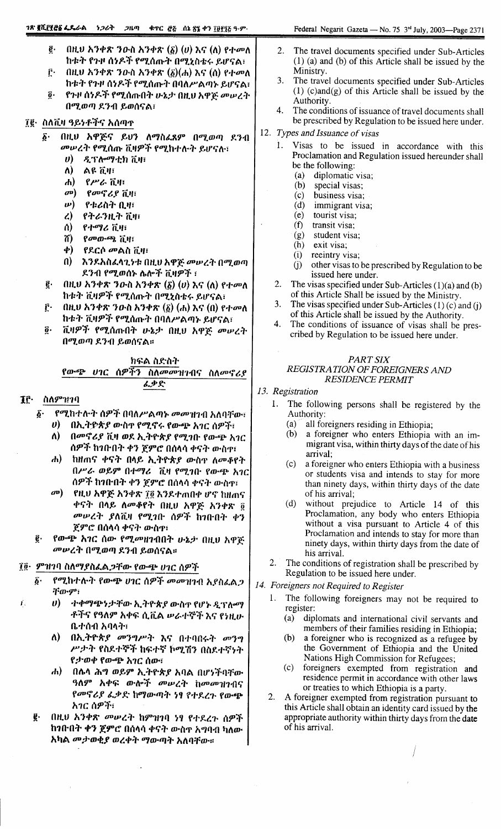- ę. በዚህ አንቀጽ ንውስ አንቀጽ  $(\delta)$   $(v)$  እና  $(\delta)$  የተመለ ከቱት የጉዞ ሰነዶች የሚሰጡት በሚኒስቴሩ ይሆናል፣
- በዚህ አንቀጽ ንውስ አንቀጽ  $(\underline{\delta})(\mathbf{A})$  እና  $(\mathbf{A})$  የተመለ  $\vec{r}$ . ከቱት የጉዞ ሰነዶች የሚሰጡት በባለሥልጣኑ ይሆናል፣  $\overline{\mathbf{0}}$ . የጉዞ ሰነዶች የሚሰጡበት ሁኔታ በዚህ አዋጅ መሠረት
- በሚወጣ ደንብ ይወሰናል፣

#### ፲፪· ስለቪዛ ዓይነቶችና አሰጣጥ

- በዚህ አዋጅና ይህን ለማስፈጸም በሚወጣ ደንብ  $\vec{\delta}$ . መሠረት የሚሰጡ ቪዛዎች የሚከተሉት ይሆናሉ፣
	- $\boldsymbol{\theta}$ ዲፕሎማቲክ ቪዛ፣
	- $\Lambda$ ልዩ ቪዛ፣
	- $\mathbf{d}$ የሥራ ቪዛ፣
	- $\boldsymbol{\sigma}$ የመኖሪያ ቪዛ፣
	- $\boldsymbol{\nu}$ የቱሪስት ቢዛ፣
	- $\mathcal{L}$ የትራንዚት ቪዛ፣
	- ሰ) የተማሪ ቪዛ፣
	- 71)  $\beta$  *a*<sup>0</sup> *a*<sup>0</sup>  $\beta$   $\beta$   $\beta$   $\beta$   $\gamma$
	- ф) \_የደርሶ መልስ ቪዛ፣
	- $\mathbf{a}$ እንደአስፈላጊነቱ በዚህ አዋጅ መሥረት በሚወጣ ደንብ የሚወሰኑ ሴሎች ቪዛዎች ፣
- በዚህ አንቀጽ ንውስ አንቀጽ  $(\delta)$   $(v)$  እና  $(\Lambda)$  የተመለ ę. ከቱት ቪዛዎች የሚሰጡት በሚኒስቴሩ ይሆናል፣
- ŕ٠ በዚህ አንቀጽ ንውስ አንቀጽ  $(\bar{\beta})$   $(A)$  እና  $(0)$  የተመለ ከቱት ቪዛዎች የሚሰጡት በባለሥልጣኑ ይሆናል፣
- ቪዛዎች የሚሰጡበት ሁኔታ በዚህ አዋጅ መሠረት  $\overline{\boldsymbol{a}}$ . በሚወጣ ደንብ ይወሰናል።

## ክፍል ስድስት የውጭ ሀገር ሰዎችን ስለ*መመ*ዝገብና ስለመኖሪያ ፈቃድ

#### If. ስለምዝንባ

Ť.

- የሚከተሉት ሰዎች በባለሥልጣኑ መመዝገብ አለባቸው፣ δ.
	- በኢትይጵያ ውስኖ የሚኖሩ የውጭ አገር ሰዎች፣ U)
		- ለ) በመኖሪያ ቪዛ ወደ ኢትዮጵያ የሚገቡ የውጭ አገር ሰዎች ከንቡበት ቀን ጀምሮ በሰላሳ ቀናት ውስዋ፣
		- $\boldsymbol{d}$ ከዘጠና ቀናት በላይ ኢትዮጵያ ውስዋ ለመቆየት በሥራ ወይም በተማሪ ቪዛ የሚገቡ የውጭ አገር ሰዎች ከንቡበት ቀን ጀምሮ በስላሳ ቀናት ውስጥ
		- $\boldsymbol{\sigma}$ የዚህ አዋጅ አንቀጽ ፲፬ እንደተጠበቀ ሆኖ ከዘጠና ቀናት በላይ ለመቆየት በዚሀ አዋጅ አንቀጽ ፬ *መሠረት ያ*ለቪዛ የሚገቡ ሰዎች ከገቡበት ቀን ጀምሮ በሰላሳ ቀናት ውስጥ
- ĝ. የውጭ አገር ሰው የሚመዘገብበት ሁኔታ በዚህ አዋጅ <sup>መ</sup>ሥረት በሚወጣ ደንብ ይወሰናል።

## ፲፬· ምዝገባ ስለማያስፌል,ጋቸው የውጭ ሀገር ሰዎች

- የሚከተሱት የውጭ ሀገር ሰዎች መመዝገብ አያስፈልጋ  $\boldsymbol{\delta}$ . ብ'ሙም፣
	- $\boldsymbol{\theta}$ ተቀማጭነታቸው ኢትዮጵያ ውስዋ የሆኑ ዲፕሎማ ቶችና የዓለም አቀፍ ሲቪል ሥራተኞች እና የነዚሁ ቤተሰብ አባላት፣
	- ለ) በኢትዮጵያ መንግሥት እና በተባበሩት መንግ ሥታት የስደተኞች ከፍተኛ ኮሚሽን በስደተኛነት የታወቀ የውጭ አገር ሰው፣
	- ሐ) በሴላ ሕግ ወይም ኢትዮጵያ አባል በሆነችባቸው ዓለም አቀፍ ውሎች መሥረት ከመመዝገብና የመኖሪያ ፌቃድ ከማውጣት ነፃ የተደረጉ የውጭ አንር ሰዎች፣
- ę. በዚህ አንቀጽ መሠረት ከምዝገባ ነፃ የተደረጉ ሰዎች ከንቡበት ቀን ጀምሮ በሰላሳ ቀናት ውስዋ አግባብ ካለው አካል መታወቂያ ወረቀት ማውጣት አለባቸው።
- $2.$ The travel documents specified under Sub-Articles  $(1)$  (a) and (b) of this Article shall be issued by the Ministry.
- $\mathbf{3}$ The travel documents specified under Sub-Articles  $(1)$  (c)and(g) of this Article shall be issued by the Authority.
- $\mathbf{A}$ The conditions of issuance of travel documents shall be prescribed by Regulation to be issued here under.
- 12. Types and Issuance of visas
	- Visas to be issued in accordance with this 1. Proclamation and Regulation issued hereunder shall be the following:
		- diplomatic visa;  $(a)$
		- $(b)$ special visas;
		- $(c)$ business visa;
		- $(d)$ immigrant visa:
		- tourist visa;  $(e)$
		- $(f)$ transit visa;
		- $(g)$ student visa; (h)
		- exit visa;  $(i)$ reeintry visa;
		- other visas to be prescribed by Regulation to be  $(j)$ issued here under.
	- 2. The visas specified under Sub-Articles  $(1)(a)$  and  $(b)$ of this Article Shall be issued by the Ministry.
	- The visas specified under Sub-Articles  $(1)(c)$  and  $(j)$ 3. of this Article shall be issued by the Authority.
	- $\mathbf{A}$ The conditions of issuance of visas shall be prescribed by Regulation to be issued here under.

#### PART SIX REGISTRATION OF FOREIGNERS AND **RESIDENCE PERMIT**

- 13. Registration
	- The following persons shall be registered by the Authority:
		- all foreigners residing in Ethiopia;  $(a)$
		- $(b)$ a foreigner who enters Ethiopia with an immigrant visa, within thirty days of the date of his arrival:
		- $(c)$ a foreigner who enters Ethiopia with a business or students visa and intends to stay for more than ninety days, within thirty days of the date of his arrival;
		- without prejudice to Article 14 of this  $(d)$ Proclamation, any body who enters Ethiopia without a visa pursuant to Article 4 of this Proclamation and intends to stay for more than ninety days, within thirty days from the date of his arrival.
	- $2.$ The conditions of registration shall be prescribed by Regulation to be issued here under.

#### 14. Foreigners not Required to Register

- The following foreigners may not be required to  $1_{-}$ register:
	- $(a)$ diplomats and international civil servants and members of their families residing in Ethiopia;
	- (b) a foreigner who is recognized as a refugee by the Government of Ethiopia and the United Nations High Commission for Refugees;
	- (c) foreigners exempted from registration and residence permit in accordance with other laws or treaties to which Ethiopia is a party.
- $2.$ A foreigner exempted from registration pursuant to this Article shall obtain an identity card issued by the appropriate authority within thirty days from the date of his arrival.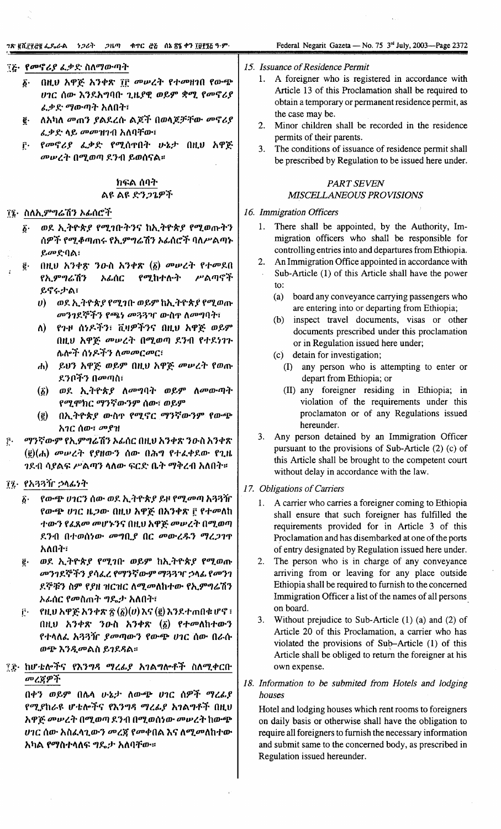## ፻፩· *የመኖሪያ ፌቃድ ስለማውጣት*

- በዚህ አዋጅ አንቀጽ ገቮ መሠረት የተመዘገበ የውጭ  $\boldsymbol{\delta}$ . ሀገር ሰው እንደአግባቡ ጊዜያዊ ወይም ቋሚ የመኖሪያ ፌቃድ ማውጣት አለበት፣
- ለአካለ መጠን ያልደረሱ ልጆች በወላጆቻቸው መኖሪያ  $\boldsymbol{\tilde{e}}$  . ፈቃድ ላይ መመዝገብ አለባቸው፣
- የመኖሪያ ፌቃድ የሚሰጥበት ሁኔታ በዚህ አዋጅ ŕ٠. መሥረት በሚወጣ ደንብ ይወሰናል።

## ክፍል ሰባት ልዩ ልዩ ድን*ጋጌዎች*

#### ፲፯• ስለኢምግሬሽን ኦፊሰሮች

- ወደ ኢትዮጵያ የሚገቡትንና ከኢትዮጵያ የሚወጡትን  $\boldsymbol{\delta}$ . ሰዎች የሚቆጣጠሩ የኢምግሬሽን አፊሰሮች ባለሥልጣኑ ይመድባል፣
- በዚህ አንቀጽ ንዑስ አንቀጽ (፩) መሠረት የተመደበ ĝ. አፊስር የሚከተሉት ሥልጣኖች የኢምግሬሽን ይኖሩታል፣
	- ወደ ኢትዮጵያ የሚገቡ ወይም ከኢትዮጵያ የሚወጡ  $\boldsymbol{\theta}$ መንገደኞችን የጫነ መጓጓዣ ውስዋ ለመግባት፣
	- ለ) የጉዞ ሰነዶችን፣ ቪዛዎችንና በዚህ አዋጅ ወይም በዚህ አዋጅ መሠረት በሚወጣ ደንብ የተደነገጉ ሴሎች ሰ*ነዶችን ለመመርመር*፣
	- ሐ) ይህን አዋጅ ወይም በዚህ አዋጅ መሠረት የወጡ ደንቦችን በ*መ*ጣስ፣
	- (፩) ወደ ኢትዮጵያ ለመግባት ወይም ለመውጣት የሚሞክር ማንኛውንም ሰው፣ ወይም
	- (ē) በኢትዮጵያ ውስጥ የሚኖር ማንኛውንም የውጭ አገር ሰው፣ መያዝ
- ማንኛውም የኢምግሬሽን አፊሰር በዚህ አንቀጽ ንዑስ አንቀጽ  $\vec{r}$ . (*§*)(木) መሠረት የያዘውን ሰው በሕግ የተፈቀደው የጊዜ *ገ*ደብ ሳያልፍ ሥልጣን ላለው ፍርድ ቤት ማቅረብ አለበት።

#### ፲፯• የአጓጓዥ ኃላፊነት

- ፩· የውጭ ሀገርን ሰው ወደ ኢትዮጵያ ይዞ የሚመጣ አጓጓዥ የውጭ ሀገር ዜጋው በዚህ አዋጅ በአንቀጽ ፫ የተመለከ ተውን የፈጸመ መሆኑንና በዚህ አዋጅ መሥረት በሚወጣ ደንብ በተወሰነው *መግ*ቢያ በር መውረ*ጹን ግረጋገ*ጥ አለበት፣
- ĝ. ወደ ኢትዮጵያ የሚገቡ ወይም ከኢትዮጵያ የሚወጡ መንገደኞችን ያሳፌረ የማንኛውም ማጓጓዣ ኃላፊ የመንገ ደኞቹን ስም የያዘ ዝርዝር ለሚመለከተው የኢምግሬሽን አፊሰር የመስጠት ግዴታ አለበት፣
- የዚህ አዋጅ አንቀጽ ፳  $(\bar{g})(v)$  እና  $(\bar{g})$  እንደተጠበቁ ሆኖ ፣ Ë۰ በዚህ አንቀጽ ንውስ አንቀጽ (፩) የተመለከተውን የተላለፌ አጓጓዥ ያመጣውን የውጭ ሀገር ሰው በራሱ ወጭ እንዲመልስ ይገደዳል።

## ቺጅ· ከሆቴሎችና የእንግዳ ማረፊያ አገልግሎቶች ስለሚቀርቡ መረጀዎች

በቀን ወይም በሴሳ ሁኔታ ለውጭ ሀገር ሰዎች ማረፊያ የሚያከራዩ ሆቴሎችና የእንግዳ ማረፊያ አገልግቶች በዚህ አዋጅ መሠረት በሚወጣ ደንብ በሚወሰነው መሠረት ከውጭ ሆገር ሰው አስፌሳጊውን መረጀ የመቀበል እና ለሚመለከተው አካል የማስተላለፍ ግዴታ አለባቸው።

- 15. Issuance of Residence Permit
	- 1. A foreigner who is registered in accordance with Article 13 of this Proclamation shall be required to obtain a temporary or permanent residence permit, as the case may be.
	- 2. Minor children shall be recorded in the residence permits of their parents.
	- 3. The conditions of issuance of residence permit shall be prescribed by Regulation to be issued here under.

## **PART SEVEN** MISCELLANEOUS PROVISIONS

#### 16. Immigration Officers

- 1. There shall be appointed, by the Authority, Immigration officers who shall be responsible for controlling entries into and departures from Ethiopia.
- $2.$ An Immigration Office appointed in accordance with Sub-Article (1) of this Article shall have the power  $\overline{10}$ :
	- $(a)$ board any conveyance carrying passengers who are entering into or departing from Ethiopia;
	- inspect travel documents, visas or other  $(b)$ documents prescribed under this proclamation or in Regulation issued here under;
	- detain for investigation;  $(c)$ 
		- (I) any person who is attempting to enter or depart from Ethiopia; or
		- (II) any foreigner residing in Ethiopia; in violation of the requirements under this proclamaton or of any Regulations issued hereunder.
- 3. Any person detained by an Immigration Officer pursuant to the provisions of Sub-Article (2) (c) of this Article shall be brought to the competent court without delay in accordance with the law.
- 17. Obligations of Carriers
	- A carrier who carries a foreigner coming to Ethiopia  $1<sup>1</sup>$ shall ensure that such foreigner has fulfilled the requirements provided for in Article 3 of this Proclamation and has disembarked at one of the ports of entry designated by Regulation issued here under.
	- 2. The person who is in charge of any conveyance arriving from or leaving for any place outside Ethiopia shall be required to furnish to the concerned Immigration Officer a list of the names of all persons on board.
	- Without prejudice to Sub-Article  $(1)$  (a) and  $(2)$  of  $3.$ Article 20 of this Proclamation, a carrier who has violated the provisions of Sub-Article (1) of this Article shall be obliged to return the foreigner at his own expense.
- 18. Information to be submited from Hotels and lodging houses

Hotel and lodging houses which rent rooms to foreigners on daily basis or otherwise shall have the obligation to require all foreigners to furnish the necessary information and submit same to the concerned body, as prescribed in Regulation issued hereunder.